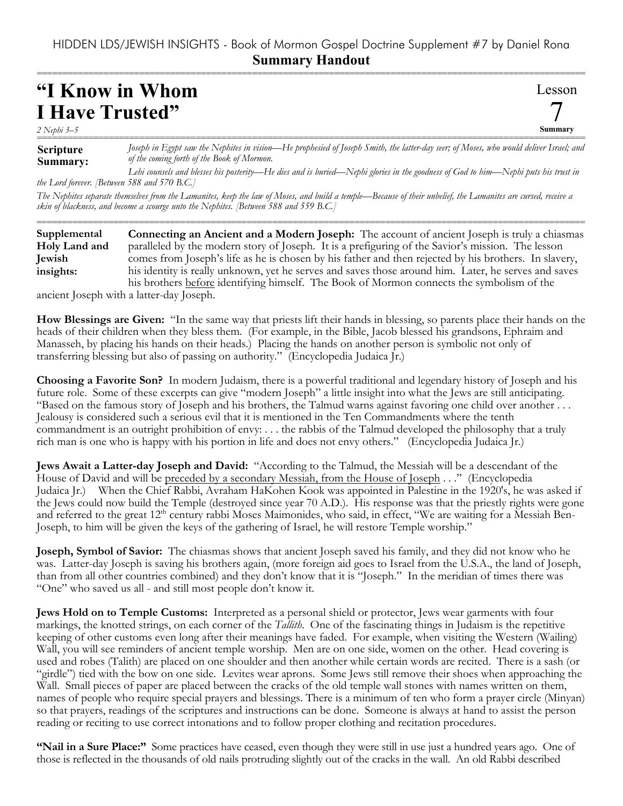## HIDDEN LDS/JEWISH INSIGHTS - Book of Mormon Gospel Doctrine Supplement #7 by Daniel Rona **Summary Handout**

===========================================================================================================

Lesson

7 **Summary**

## **"I Know in Whom I Have Trusted"**

*2 Nephi 3–5*

**Scripture Summary:** =========================================================================================================== *Joseph in Egypt saw the Nephites in vision—He prophesied of Joseph Smith, the latter-day seer; of Moses, who would deliver Israel; and of the coming forth of the Book of Mormon.*

*Lehi counsels and blesses his posterity—He dies and is buried—Nephi glories in the goodness of God to him—Nephi puts his trust in the Lord forever. [Between 588 and 570 B.C.]*

*The Nephites separate themselves from the Lamanites, keep the law of Moses, and build a temple—Because of their unbelief, the Lamanites are cursed, receive a skin of blackness, and become a scourge unto the Nephites. [Between 588 and 559 B.C.]*

| Supplemental  | <b>Connecting an Ancient and a Modern Joseph:</b> The account of ancient Joseph is truly a chiasmas   |
|---------------|-------------------------------------------------------------------------------------------------------|
| Holy Land and | paralleled by the modern story of Joseph. It is a prefiguring of the Savior's mission. The lesson     |
| Jewish        | comes from Joseph's life as he is chosen by his father and then rejected by his brothers. In slavery, |
| insights:     | his identity is really unknown, yet he serves and saves those around him. Later, he serves and saves  |
|               | his brothers before identifying himself. The Book of Mormon connects the symbolism of the             |

ancient Joseph with a latter-day Joseph.

**How Blessings are Given:** "In the same way that priests lift their hands in blessing, so parents place their hands on the heads of their children when they bless them. (For example, in the Bible, Jacob blessed his grandsons, Ephraim and Manasseh, by placing his hands on their heads.) Placing the hands on another person is symbolic not only of transferring blessing but also of passing on authority." (Encyclopedia Judaica Jr.)

**Choosing a Favorite Son?** In modern Judaism, there is a powerful traditional and legendary history of Joseph and his future role. Some of these excerpts can give "modern Joseph" a little insight into what the Jews are still anticipating. "Based on the famous story of Joseph and his brothers, the Talmud warns against favoring one child over another . . . Jealousy is considered such a serious evil that it is mentioned in the Ten Commandments where the tenth commandment is an outright prohibition of envy: . . . the rabbis of the Talmud developed the philosophy that a truly rich man is one who is happy with his portion in life and does not envy others." (Encyclopedia Judaica Jr.)

**Jews Await a Latter-day Joseph and David:** "According to the Talmud, the Messiah will be a descendant of the House of David and will be preceded by a secondary Messiah, from the House of Joseph . . ." (Encyclopedia Judaica Jr.) When the Chief Rabbi, Avraham HaKohen Kook was appointed in Palestine in the 1920's, he was asked if the Jews could now build the Temple (destroyed since year 70 A.D.). His response was that the priestly rights were gone and referred to the great 12<sup>th</sup> century rabbi Moses Maimonides, who said, in effect, "We are waiting for a Messiah Ben-Joseph, to him will be given the keys of the gathering of Israel, he will restore Temple worship."

**Joseph, Symbol of Savior:** The chiasmas shows that ancient Joseph saved his family, and they did not know who he was. Latter-day Joseph is saving his brothers again, (more foreign aid goes to Israel from the U.S.A., the land of Joseph, than from all other countries combined) and they don't know that it is "Joseph." In the meridian of times there was "One" who saved us all - and still most people don't know it.

**Jews Hold on to Temple Customs:** Interpreted as a personal shield or protector, Jews wear garments with four markings, the knotted strings, on each corner of the *Tallith*. One of the fascinating things in Judaism is the repetitive keeping of other customs even long after their meanings have faded. For example, when visiting the Western (Wailing) Wall, you will see reminders of ancient temple worship. Men are on one side, women on the other. Head covering is used and robes (Talith) are placed on one shoulder and then another while certain words are recited. There is a sash (or "girdle") tied with the bow on one side. Levites wear aprons. Some Jews still remove their shoes when approaching the Wall. Small pieces of paper are placed between the cracks of the old temple wall stones with names written on them, names of people who require special prayers and blessings. There is a minimum of ten who form a prayer circle (Minyan) so that prayers, readings of the scriptures and instructions can be done. Someone is always at hand to assist the person reading or reciting to use correct intonations and to follow proper clothing and recitation procedures.

**"Nail in a Sure Place:"** Some practices have ceased, even though they were still in use just a hundred years ago. One of those is reflected in the thousands of old nails protruding slightly out of the cracks in the wall. An old Rabbi described